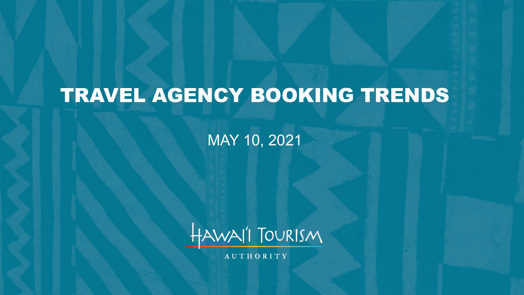# TRAVEL AGENCY BOOKING TRENDS

MAY 10, 2021



**AUTHORITY**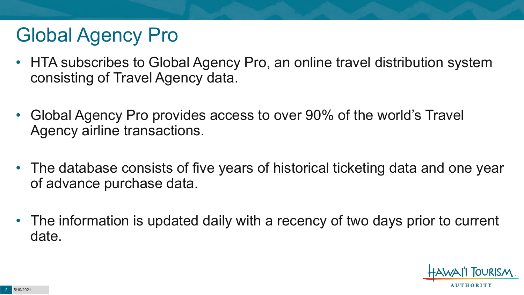# Global Agency Pro

- HTA subscribes to Global Agency Pro, an online travel distribution system consisting of Travel Agency data.
- Global Agency Pro provides access to over 90% of the world's Travel Agency airline transactions.
- The database consists of five years of historical ticketing data and one year of advance purchase data.
- The information is updated daily with a recency of two days prior to current date.

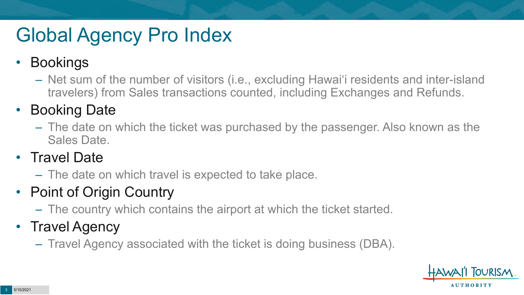# Global Agency Pro Index

#### • Bookings

– Net sum of the number of visitors (i.e., excluding Hawai'i residents and inter-island travelers) from Sales transactions counted, including Exchanges and Refunds.

#### • Booking Date

– The date on which the ticket was purchased by the passenger. Also known as the Sales Date.

#### • Travel Date

– The date on which travel is expected to take place.

#### • Point of Origin Country

– The country which contains the airport at which the ticket started.

#### • Travel Agency

– Travel Agency associated with the ticket is doing business (DBA).

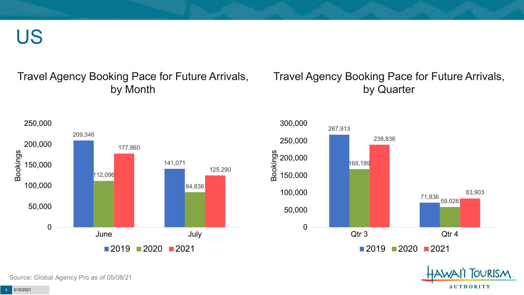US

#### Travel Agency Booking Pace for Future Arrivals, by Month

#### Travel Agency Booking Pace for Future Arrivals, by Quarter





**OURISM** 

**AUTHORITY** 

4 5/10/2021

Source: Global Agency Pro as of 05/08/21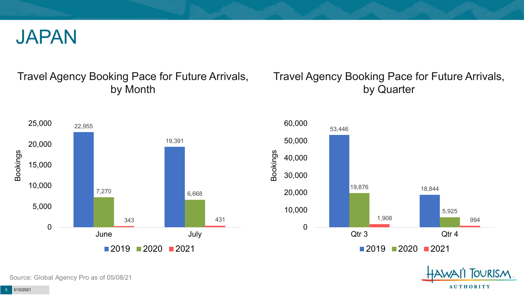

#### Travel Agency Booking Pace for Future Arrivals, by Month



#### Travel Agency Booking Pace for Future Arrivals, by Quarter





Source: Global Agency Pro as of 05/08/21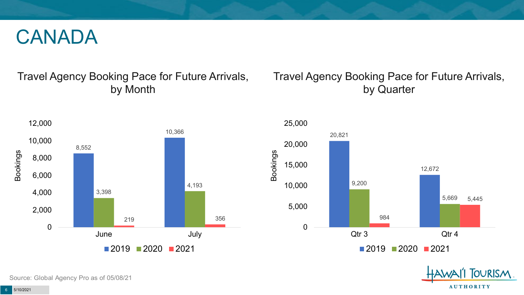### CANADA

#### Travel Agency Booking Pace for Future Arrivals, by Month



#### Travel Agency Booking Pace for Future Arrivals, by Quarter





Source: Global Agency Pro as of 05/08/21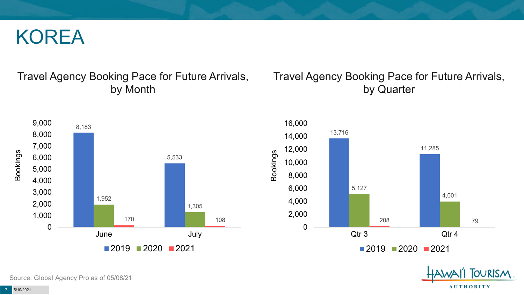### KOREA

#### Travel Agency Booking Pace for Future Arrivals, by Month

#### Travel Agency Booking Pace for Future Arrivals, by Quarter







Source: Global Agency Pro as of 05/08/21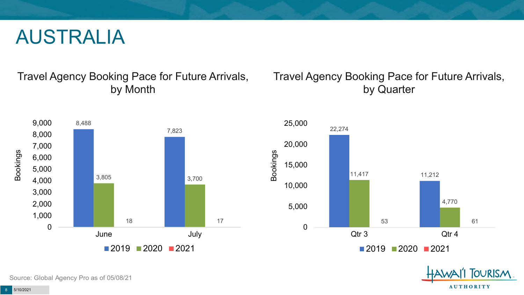### AUSTRALIA

#### Travel Agency Booking Pace for Future Arrivals, by Month



#### Travel Agency Booking Pace for Future Arrivals, by Quarter





Source: Global Agency Pro as of 05/08/21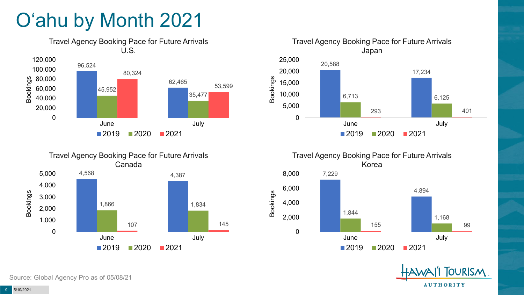# O'ahu by Month 2021









 $2019$  2020 2021



Source: Global Agency Pro as of 05/08/21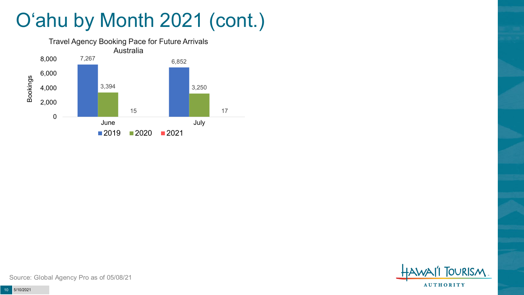# O'ahu by Month 2021 (cont.)





Source: Global Agency Pro as of 05/08/21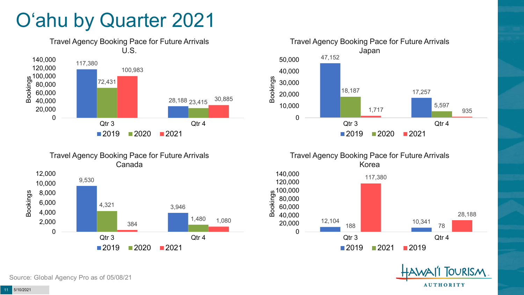# O'ahu by Quarter 2021











Source: Global Agency Pro as of 05/08/21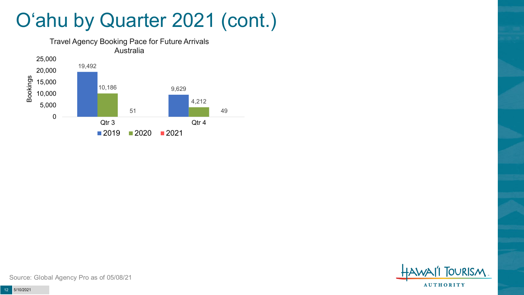## O'ahu by Quarter 2021 (cont.)





Source: Global Agency Pro as of 05/08/21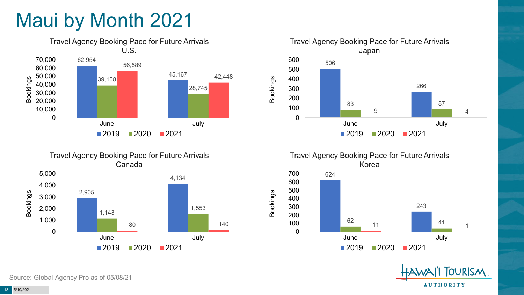# Maui by Month 2021







Travel Agency Booking Pace for Future Arrivals Korea 624 700

Bookings





Source: Global Agency Pro as of 05/08/21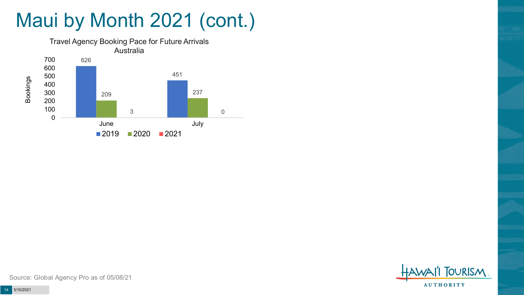# Maui by Month 2021 (cont.)





Source: Global Agency Pro as of 05/08/21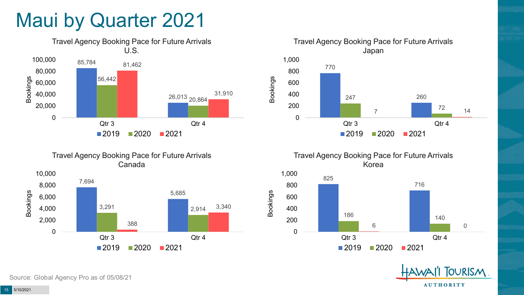### Maui by Quarter 2021







Travel Agency Booking Pace for Future Arrivals Korea



Bookings

**OURISM AUTHORITY** 

Source: Global Agency Pro as of 05/08/21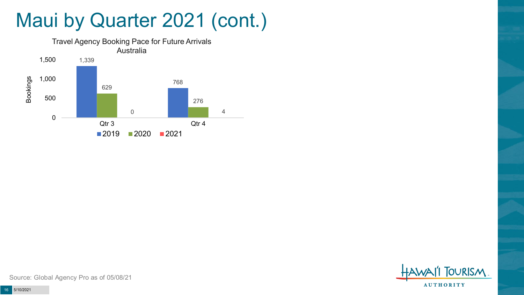### Maui by Quarter 2021 (cont.)





Source: Global Agency Pro as of 05/08/21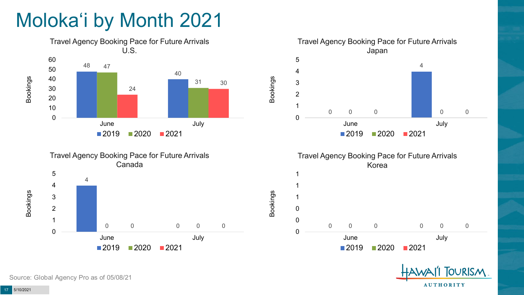# Moloka'i by Month 2021





Japan  $\Omega$  0 0 0 June July Bookings 2020 2021

Travel Agency Booking Pace for Future Arrivals



Bookings



Source: Global Agency Pro as of 05/08/21

Bookings

Bookings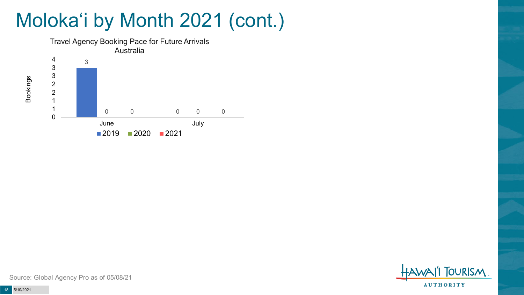# Moloka'i by Month 2021 (cont.)



**TOURISM AUTHORITY** 

Source: Global Agency Pro as of 05/08/21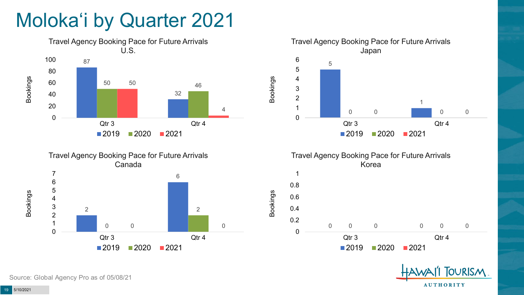# Moloka'i by Quarter 2021









Bookings



Source: Global Agency Pro as of 05/08/21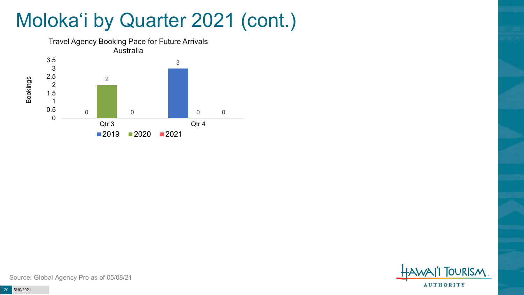# Moloka'i by Quarter 2021 (cont.)



**TOURISM AUTHORITY** 

Source: Global Agency Pro as of 05/08/21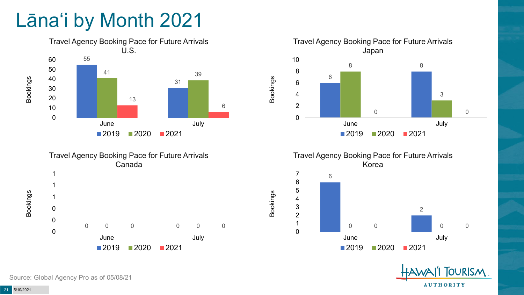# Lāna'i by Month 2021







Travel Agency Booking Pace for Future Arrivals Korea

Bookings





Source: Global Agency Pro as of 05/08/21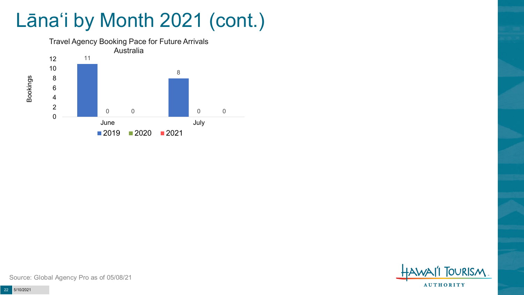# Lāna'i by Month 2021 (cont.)



**TOURISM AUTHORITY** 

Source: Global Agency Pro as of 05/08/21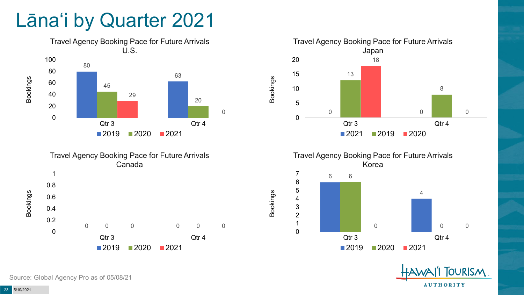### Lāna'i by Quarter 2021





Travel Agency Booking Pace for Future Arrivals Japan 0 Qtr 3 Qtr 4 Bookings  $\blacksquare$  2021  $\blacksquare$  2019  $\blacksquare$  2020



Bookings





Source: Global Agency Pro as of 05/08/21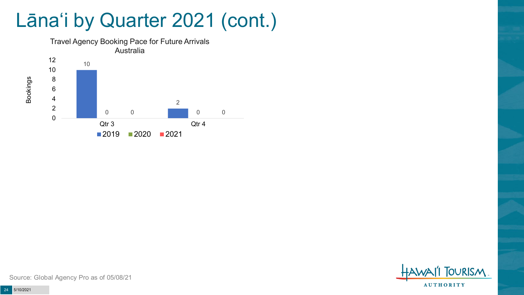### Lāna'i by Quarter 2021 (cont.)



**TOURISM AUTHORITY** 

Source: Global Agency Pro as of 05/08/21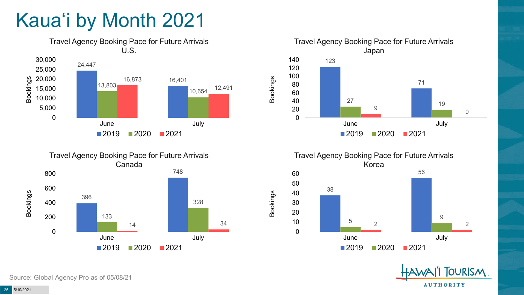# Kaua'i by Month 2021











Source: Global Agency Pro as of 05/08/21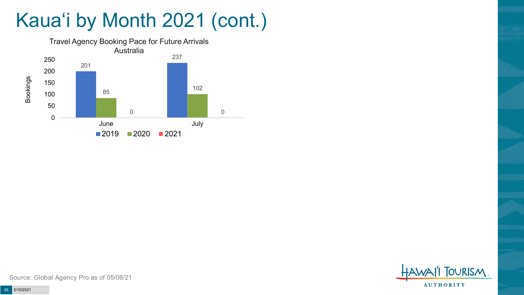# Kaua'i by Month 2021 (cont.)





Source: Global Agency Pro as of 05/08/21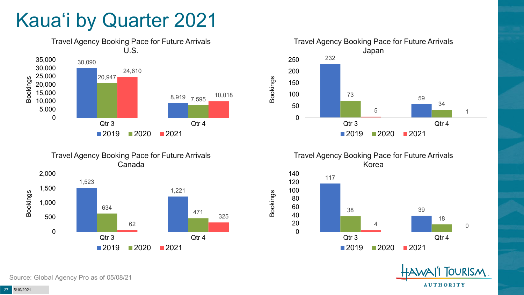# Kaua'i by Quarter 2021







Travel Agency Booking Pace for Future Arrivals Korea



Bookings



Source: Global Agency Pro as of 05/08/21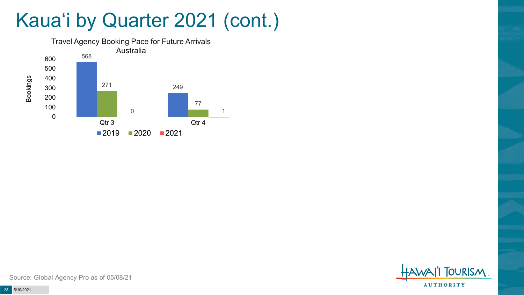# Kaua'i by Quarter 2021 (cont.)



**FOURISM AUTHORITY** 

Source: Global Agency Pro as of 05/08/21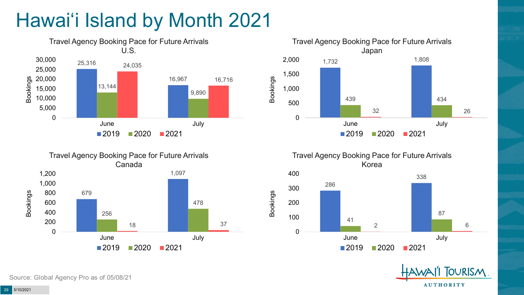# Hawai'i Island by Month 2021







Travel Agency Booking Pace for Future Arrivals Korea

Bookings





Source: Global Agency Pro as of 05/08/21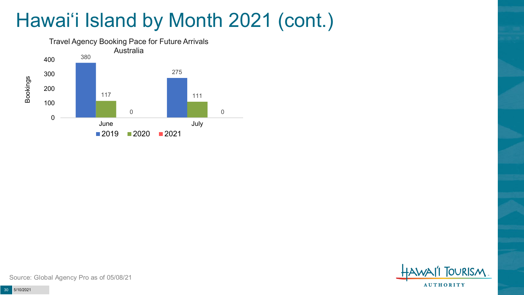# Hawai'i Island by Month 2021 (cont.)





Source: Global Agency Pro as of 05/08/21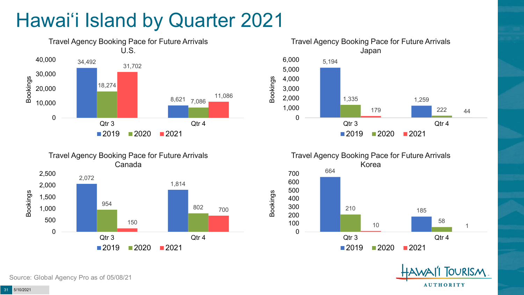# Hawai'i Island by Quarter 2021











Source: Global Agency Pro as of 05/08/21